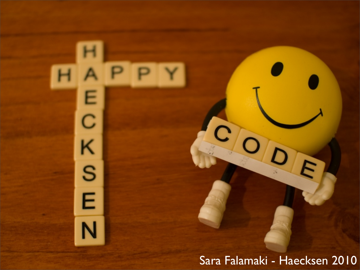Sara Falamaki - Haecksen 2010

 $\vert D \vert$ 

 $\overline{c}$ 

O

E

m s k

 $\overline{\mathsf{N}}$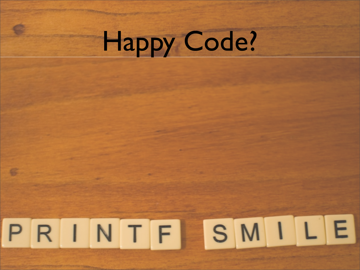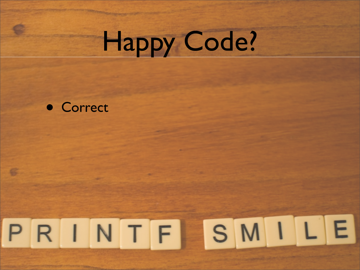

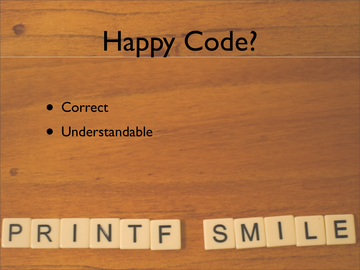• Correct • Understandable

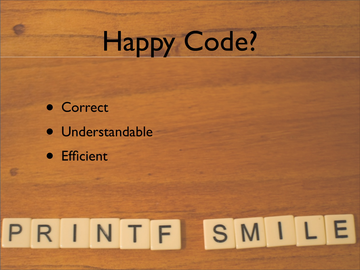- Correct • Understandable
- Efficient

# PRINTFISMILE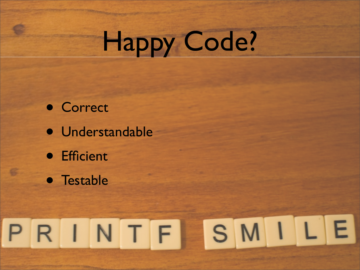- Correct • Understandable • Efficient
- Testable

# PRINTFISMILE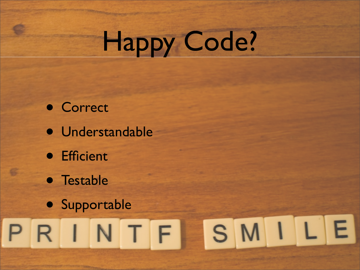- Correct
- Understandable
- Efficient
- Testable
- Supportable<br>PRINTFISMILE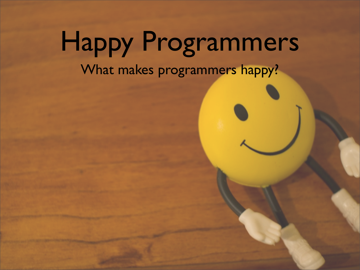#### Happy Programmers What makes programmers happy?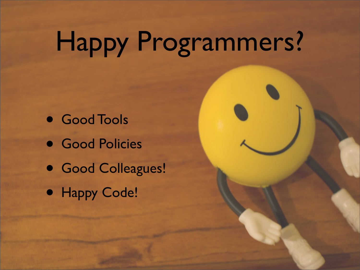## Happy Programmers?

- Good Tools
- Good Policies
- Good Colleagues!
- Happy Code!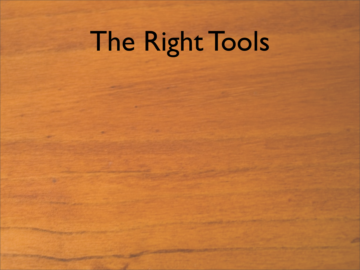# The Right Tools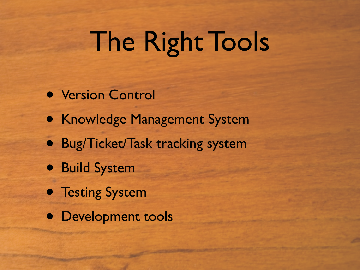## The Right Tools

- Version Control
- Knowledge Management System
- Bug/Ticket/Task tracking system
- Build System
- **Testing System**
- Development tools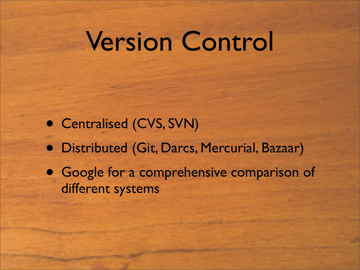#### Version Control

- Centralised (CVS, SVN)
- Distributed (Git, Darcs, Mercurial, Bazaar)
- Google for a comprehensive comparison of different systems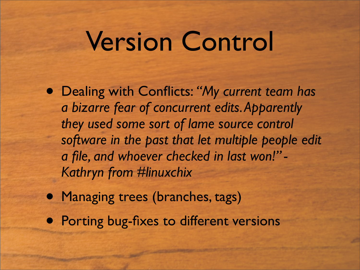#### Version Control

- Dealing with Conflicts: *"My current team has a bizarre fear of concurrent edits. Apparently they used some sort of lame source control software in the past that let multiple people edit a file, and whoever checked in last won!" - Kathryn from #linuxchix*
- Managing trees (branches, tags)
- Porting bug-fixes to different versions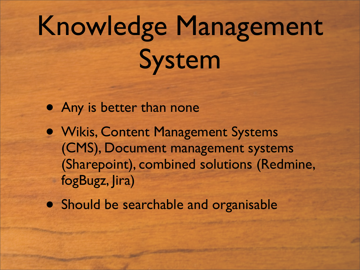## Knowledge Management System

- Any is better than none
- Wikis, Content Management Systems (CMS), Document management systems (Sharepoint), combined solutions (Redmine, fogBugz, Jira)
- Should be searchable and organisable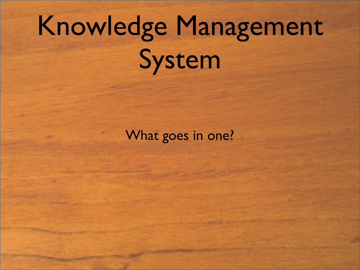## Knowledge Management System

What goes in one?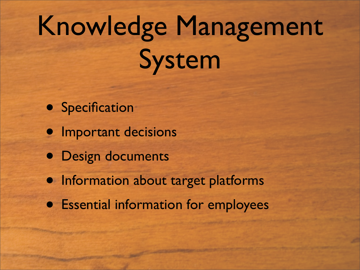## Knowledge Management System

- Specification
- **•** Important decisions
- Design documents
- Information about target platforms
- Essential information for employees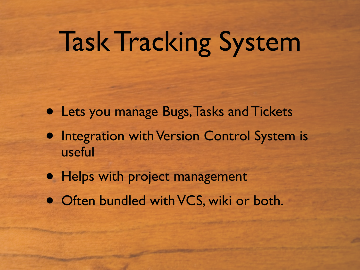## Task Tracking System

- Lets you manage Bugs, Tasks and Tickets
- **Integration with Version Control System is** useful
- Helps with project management
- Often bundled with VCS, wiki or both.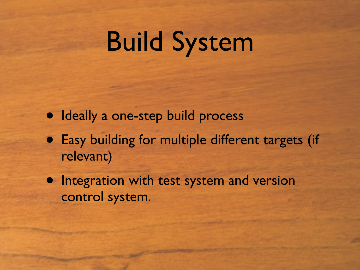### Build System

- Ideally a one-step build process
- Easy building for multiple different targets (if relevant)
- Integration with test system and version control system.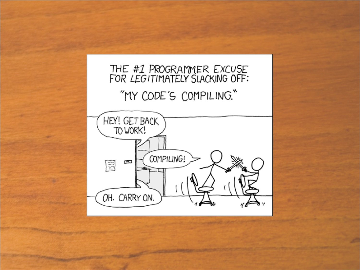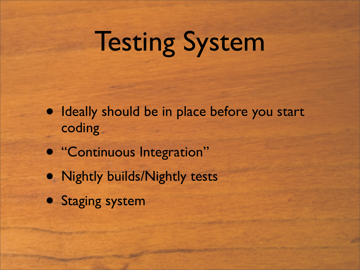## Testing System

- Ideally should be in place before you start coding
- "Continuous Integration"
- Nightly builds/Nightly tests
- Staging system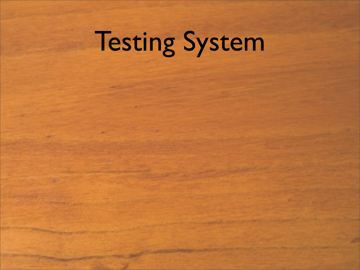# Testing System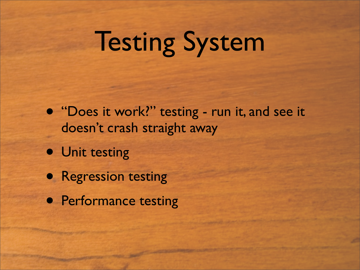### Testing System

- "Does it work?" testing run it, and see it doesn't crash straight away
- Unit testing
- Regression testing
- **Performance testing**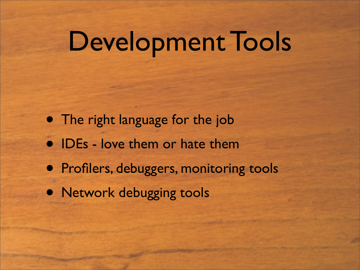#### Development Tools

- The right language for the job
- IDEs love them or hate them
- Profilers, debuggers, monitoring tools
- Network debugging tools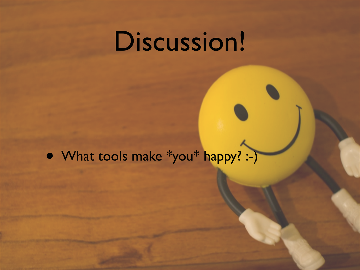#### Discussion!

• What tools make \*you\* happy? :-)